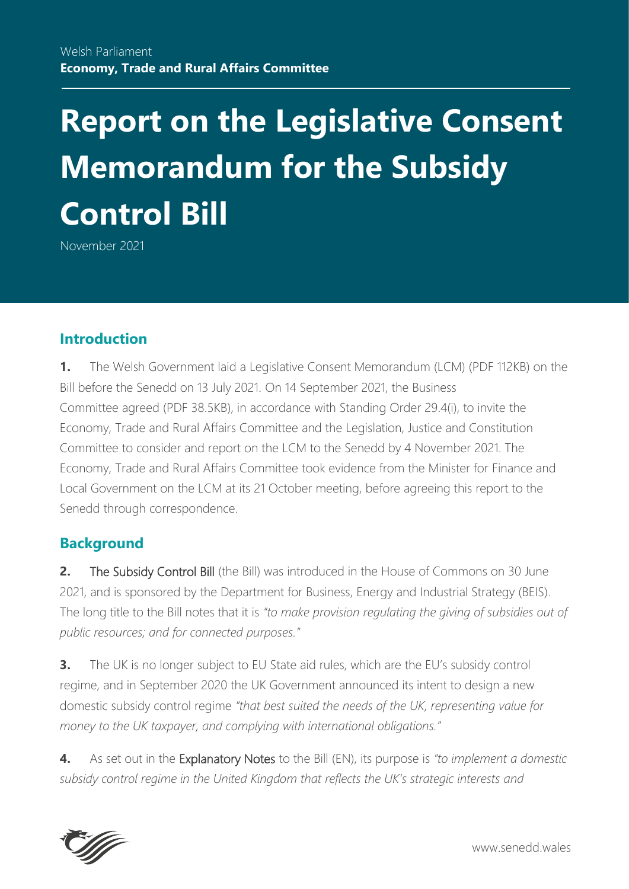# **Report on the Legislative Consent Memorandum for the Subsidy Control Bill**

November 2021

## **Introduction**

**1.** The Welsh Government laid a [Legislative Consent Memorandum](https://senedd.wales/media/yhcnasow/lcm-ld14446-e.pdf) (LCM) (PDF 112KB) on the Bill before the Senedd on 13 July 2021. On 14 September 2021, the Business Committee [agreed](https://senedd.wales/media/mfdbwtne/cr-ld14541-e.pdf) (PDF 38.5KB), in accordance with Standing Order 29.4(i), to invite [the](https://senedd.wales/committee/738)  [Economy, Trade and Rural Affairs Committee](https://senedd.wales/committee/738) and [the Legislation, Justice and Constitution](https://senedd.wales/committee/725)  [Committee](https://senedd.wales/committee/725) to consider and report on the LCM to the Senedd by 4 November 2021. The Economy, Trade and Rural Affairs Committee took evidence from the Minister for Finance and Local Government on the LCM at its 21 October meeting, before agreeing this report to the Senedd through correspondence.

## **Background**

**2.** [The Subsidy Control Bill](https://bills.parliament.uk/bills/3015/publications) (the Bill) was introduced in the House of Commons on 30 June 2021, and is sponsored by the Department for Business, Energy and Industrial Strategy (BEIS). The long title to the Bill notes that it is *"to make provision regulating the giving of subsidies out of public resources; and for connected purposes."*

**3.** The UK is no longer subject to EU State aid rules, which are the EU's subsidy control regime, and in September 2020 the UK Government announced its intent to design a new domestic subsidy control regime *"that best suited the needs of the UK, representing value for money to the UK taxpayer, and complying with international obligations."*

**4.** As set out in the [Explanatory Notes](https://publications.parliament.uk/pa/bills/cbill/58-02/0135/en/210135en.pdf) to the Bill (EN), its purpose is *"to implement a domestic subsidy control regime in the United Kingdom that reflects the UK's strategic interests and* 



www.senedd.wales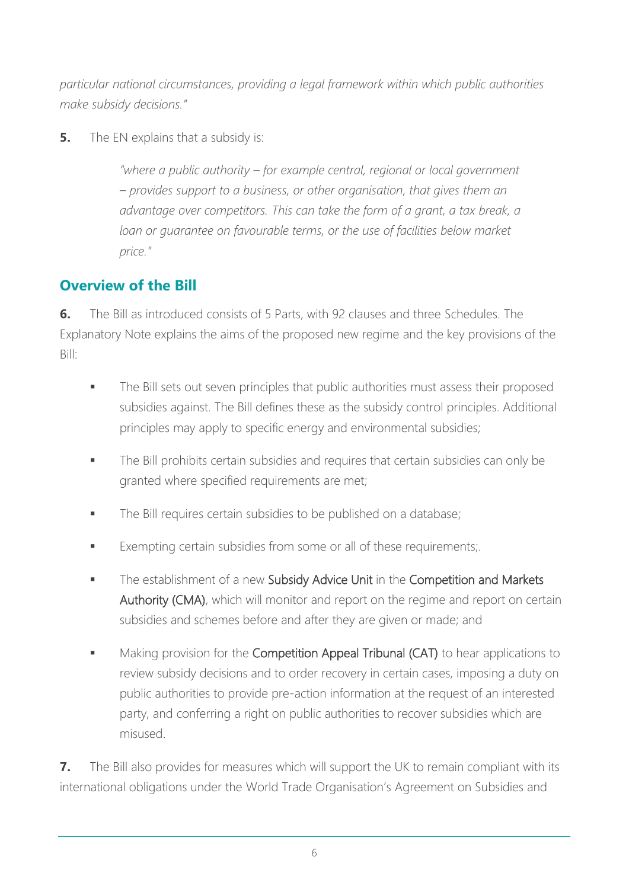*particular national circumstances, providing a legal framework within which public authorities make subsidy decisions."*

**5.** The EN explains that a subsidy is:

*"where a public authority – for example central, regional or local government – provides support to a business, or other organisation, that gives them an advantage over competitors. This can take the form of a grant, a tax break, a*  loan or *guarantee on favourable terms, or the use of facilities below market price."*

# **Overview of the Bill**

**6.** The Bill as introduced consists of 5 Parts, with 92 clauses and three Schedules. The Explanatory Note explains the aims of the proposed new regime and the key provisions of the Bill:

- **■** The Bill sets out seven principles that public authorities must assess their proposed subsidies against. The Bill defines these as the subsidy control principles. Additional principles may apply to specific energy and environmental subsidies;
- **The Bill prohibits certain subsidies and requires that certain subsidies can only be** granted where specified requirements are met;
- **The Bill requires certain subsidies to be published on a database;**
- Exempting certain subsidies from some or all of these requirements;
- **■** The establishment of a new Subsidy Advice Unit in the Competition and Markets Authority (CMA), which will monitor and report on the regime and report on certain subsidies and schemes before and after they are given or made; and
- Making provision for the Competition Appeal Tribunal (CAT) to hear applications to review subsidy decisions and to order recovery in certain cases, imposing a duty on public authorities to provide pre-action information at the request of an interested party, and conferring a right on public authorities to recover subsidies which are misused.

**7.** The Bill also provides for measures which will support the UK to remain compliant with its international obligations under the World Trade Organisation's Agreement on Subsidies and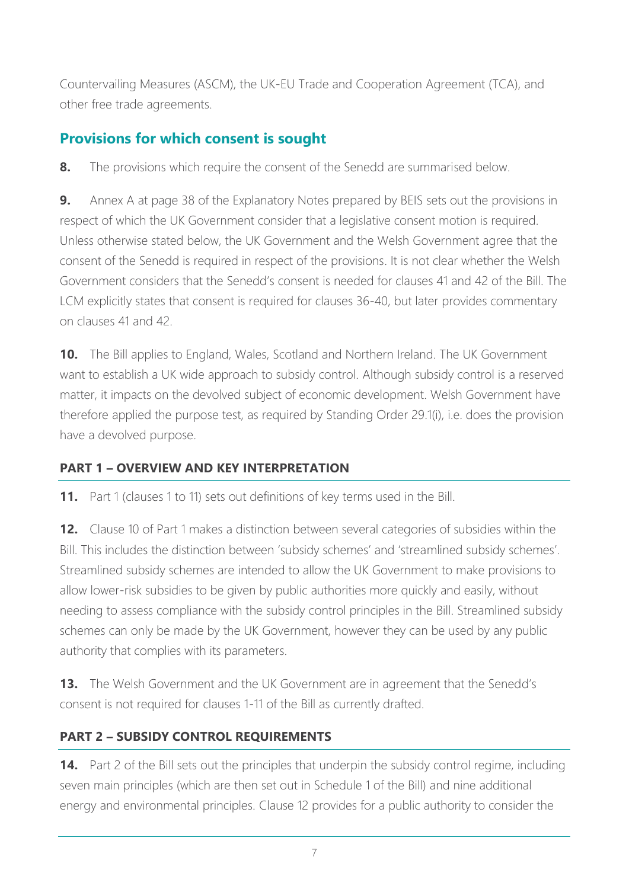Countervailing Measures (ASCM), the UK-EU Trade and Cooperation Agreement (TCA), and other free trade agreements.

# **Provisions for which consent is sought**

**8.** The provisions which require the consent of the Senedd are summarised below.

**9.** Annex A at page 38 of the Explanatory Notes prepared by BEIS sets out the provisions in respect of which the UK Government consider that a legislative consent motion is required. Unless otherwise stated below, the UK Government and the Welsh Government agree that the consent of the Senedd is required in respect of the provisions. It is not clear whether the Welsh Government considers that the Senedd's consent is needed for clauses 41 and 42 of the Bill. The LCM explicitly states that consent is required for clauses 36-40, but later provides commentary on clauses 41 and 42.

**10.** The Bill applies to England, Wales, Scotland and Northern Ireland. The UK Government want to establish a UK wide approach to subsidy control. Although subsidy control is a reserved matter, it impacts on the devolved subject of economic development. Welsh Government have therefore applied the purpose test, as required by Standing Order 29.1(i), i.e. does the provision have a devolved purpose.

## **PART 1 – OVERVIEW AND KEY INTERPRETATION**

**11.** Part 1 (clauses 1 to 11) sets out definitions of key terms used in the Bill.

**12.** Clause 10 of Part 1 makes a distinction between several categories of subsidies within the Bill. This includes the distinction between 'subsidy schemes' and 'streamlined subsidy schemes'. Streamlined subsidy schemes are intended to allow the UK Government to make provisions to allow lower-risk subsidies to be given by public authorities more quickly and easily, without needing to assess compliance with the subsidy control principles in the Bill. Streamlined subsidy schemes can only be made by the UK Government, however they can be used by any public authority that complies with its parameters.

**13.** The Welsh Government and the UK Government are in agreement that the Senedd's consent is not required for clauses 1-11 of the Bill as currently drafted.

## **PART 2 – SUBSIDY CONTROL REQUIREMENTS**

**14.** Part 2 of the Bill sets out the principles that underpin the subsidy control regime, including seven main principles (which are then set out in Schedule 1 of the Bill) and nine additional energy and environmental principles. Clause 12 provides for a public authority to consider the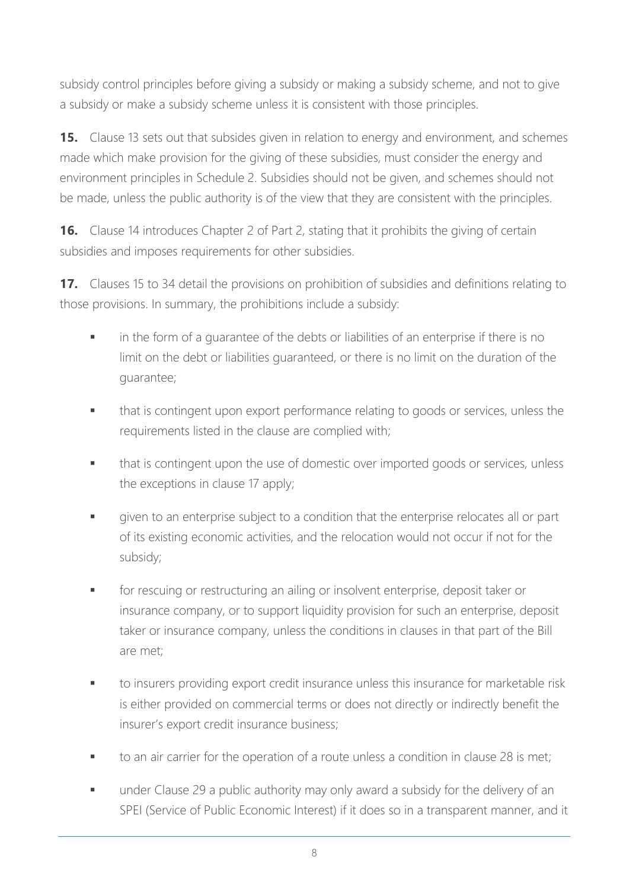subsidy control principles before giving a subsidy or making a subsidy scheme, and not to give a subsidy or make a subsidy scheme unless it is consistent with those principles.

**15.** Clause 13 sets out that subsides given in relation to energy and environment, and schemes made which make provision for the giving of these subsidies, must consider the energy and environment principles in Schedule 2. Subsidies should not be given, and schemes should not be made, unless the public authority is of the view that they are consistent with the principles.

**16.** Clause 14 introduces Chapter 2 of Part 2, stating that it prohibits the giving of certain subsidies and imposes requirements for other subsidies.

**17.** Clauses 15 to 34 detail the provisions on prohibition of subsidies and definitions relating to those provisions. In summary, the prohibitions include a subsidy:

- in the form of a guarantee of the debts or liabilities of an enterprise if there is no limit on the debt or liabilities guaranteed, or there is no limit on the duration of the guarantee;
- **■** that is contingent upon export performance relating to goods or services, unless the requirements listed in the clause are complied with;
- that is contingent upon the use of domestic over imported goods or services, unless the exceptions in clause 17 apply;
- **■** given to an enterprise subject to a condition that the enterprise relocates all or part of its existing economic activities, and the relocation would not occur if not for the subsidy;
- for rescuing or restructuring an ailing or insolvent enterprise, deposit taker or insurance company, or to support liquidity provision for such an enterprise, deposit taker or insurance company, unless the conditions in clauses in that part of the Bill are met;
- to insurers providing export credit insurance unless this insurance for marketable risk is either provided on commercial terms or does not directly or indirectly benefit the insurer's export credit insurance business;
- to an air carrier for the operation of a route unless a condition in clause 28 is met;
- **■** under Clause 29 a public authority may only award a subsidy for the delivery of an SPEI (Service of Public Economic Interest) if it does so in a transparent manner, and it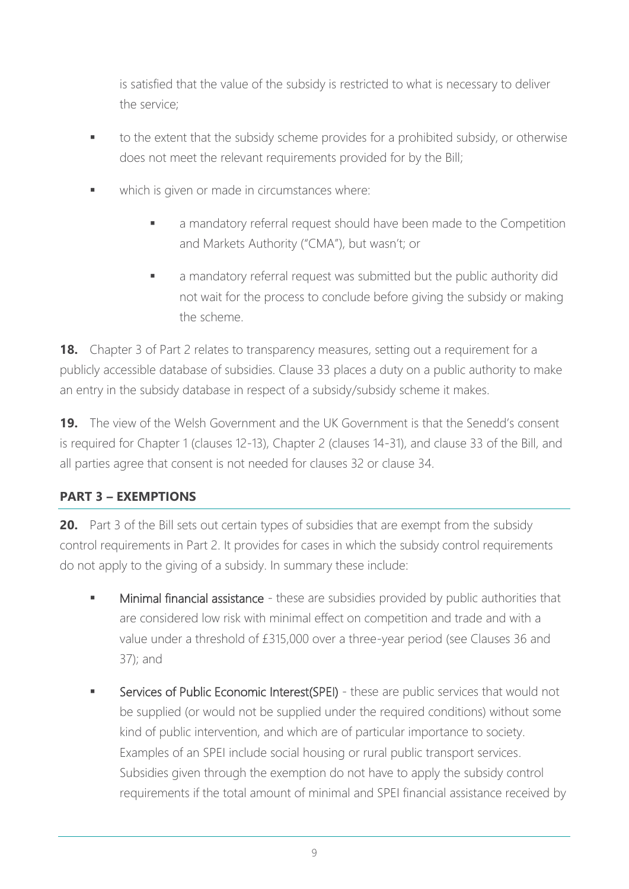is satisfied that the value of the subsidy is restricted to what is necessary to deliver the service;

- to the extent that the subsidy scheme provides for a prohibited subsidy, or otherwise does not meet the relevant requirements provided for by the Bill;
- which is given or made in circumstances where:
	- a mandatory referral request should have been made to the Competition and Markets Authority ("CMA"), but wasn't; or
	- a mandatory referral request was submitted but the public authority did not wait for the process to conclude before giving the subsidy or making the scheme.

**18.** Chapter 3 of Part 2 relates to transparency measures, setting out a requirement for a publicly accessible database of subsidies. Clause 33 places a duty on a public authority to make an entry in the subsidy database in respect of a subsidy/subsidy scheme it makes.

**19.** The view of the Welsh Government and the UK Government is that the Senedd's consent is required for Chapter 1 (clauses 12-13), Chapter 2 (clauses 14-31), and clause 33 of the Bill, and all parties agree that consent is not needed for clauses 32 or clause 34.

## **PART 3 – EXEMPTIONS**

**20.** Part 3 of the Bill sets out certain types of subsidies that are exempt from the subsidy control requirements in Part 2. It provides for cases in which the subsidy control requirements do not apply to the giving of a subsidy. In summary these include:

- Minimal financial assistance these are subsidies provided by public authorities that are considered low risk with minimal effect on competition and trade and with a value under a threshold of £315,000 over a three-year period (see Clauses 36 and 37); and
- Services of Public Economic Interest(SPEI) these are public services that would not be supplied (or would not be supplied under the required conditions) without some kind of public intervention, and which are of particular importance to society. Examples of an SPEI include social housing or rural public transport services. Subsidies given through the exemption do not have to apply the subsidy control requirements if the total amount of minimal and SPEI financial assistance received by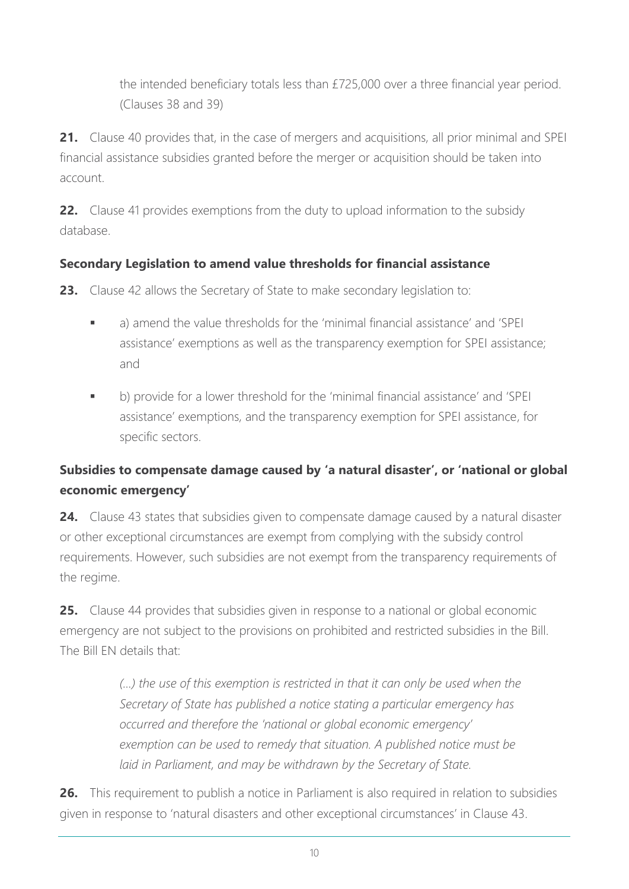the intended beneficiary totals less than £725,000 over a three financial year period. (Clauses 38 and 39)

**21.** Clause 40 provides that, in the case of mergers and acquisitions, all prior minimal and SPEI financial assistance subsidies granted before the merger or acquisition should be taken into account.

**22.** Clause 41 provides exemptions from the duty to upload information to the subsidy database.

## **Secondary Legislation to amend value thresholds for financial assistance**

**23.** Clause 42 allows the Secretary of State to make secondary legislation to:

- a) amend the value thresholds for the 'minimal financial assistance' and 'SPEI assistance' exemptions as well as the transparency exemption for SPEI assistance; and
- b) provide for a lower threshold for the 'minimal financial assistance' and 'SPEI assistance' exemptions, and the transparency exemption for SPEI assistance, for specific sectors.

# **Subsidies to compensate damage caused by 'a natural disaster', or 'national or global economic emergency'**

**24.** Clause 43 states that subsidies given to compensate damage caused by a natural disaster or other exceptional circumstances are exempt from complying with the subsidy control requirements. However, such subsidies are not exempt from the transparency requirements of the regime.

**25.** Clause 44 provides that subsidies given in response to a national or global economic emergency are not subject to the provisions on prohibited and restricted subsidies in the Bill. The Bill EN details that:

> *(...) the use of this exemption is restricted in that it can only be used when the Secretary of State has published a notice stating a particular emergency has occurred and therefore the 'national or global economic emergency' exemption can be used to remedy that situation. A published notice must be laid in Parliament, and may be withdrawn by the Secretary of State.*

**26.** This requirement to publish a notice in Parliament is also required in relation to subsidies given in response to 'natural disasters and other exceptional circumstances' in Clause 43.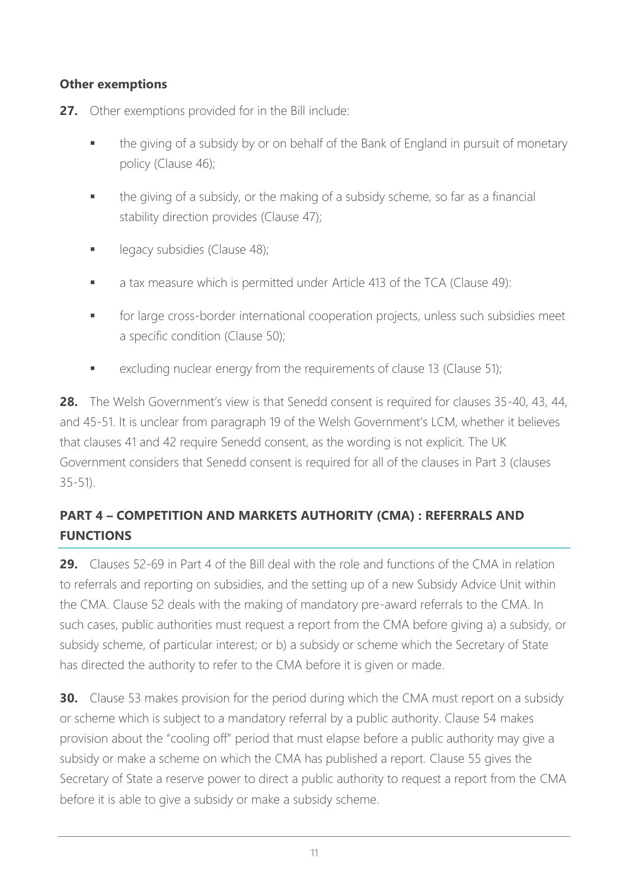#### **Other exemptions**

- **27.** Other exemptions provided for in the Bill include:
	- the giving of a subsidy by or on behalf of the Bank of England in pursuit of monetary policy (Clause 46);
	- the giving of a subsidy, or the making of a subsidy scheme, so far as a financial stability direction provides (Clause 47);
	- **•** legacy subsidies (Clause 48);
	- **■** a tax measure which is permitted under Article 413 of the TCA (Clause 49):
	- **■** for large cross-border international cooperation projects, unless such subsidies meet a specific condition (Clause 50);
	- excluding nuclear energy from the requirements of clause 13 (Clause 51);

**28.** The Welsh Government's view is that Senedd consent is required for clauses 35-40, 43, 44, and 45-51. It is unclear from paragraph 19 of the Welsh Government's LCM, whether it believes that clauses 41 and 42 require Senedd consent, as the wording is not explicit. The UK Government considers that Senedd consent is required for all of the clauses in Part 3 (clauses 35-51).

# **PART 4 – COMPETITION AND MARKETS AUTHORITY (CMA) : REFERRALS AND FUNCTIONS**

**29.** Clauses 52-69 in Part 4 of the Bill deal with the role and functions of the CMA in relation to referrals and reporting on subsidies, and the setting up of a new Subsidy Advice Unit within the CMA. Clause 52 deals with the making of mandatory pre-award referrals to the CMA. In such cases, public authorities must request a report from the CMA before giving a) a subsidy, or subsidy scheme, of particular interest; or b) a subsidy or scheme which the Secretary of State has directed the authority to refer to the CMA before it is given or made.

**30.** Clause 53 makes provision for the period during which the CMA must report on a subsidy or scheme which is subject to a mandatory referral by a public authority. Clause 54 makes provision about the "cooling off" period that must elapse before a public authority may give a subsidy or make a scheme on which the CMA has published a report. Clause 55 gives the Secretary of State a reserve power to direct a public authority to request a report from the CMA before it is able to give a subsidy or make a subsidy scheme.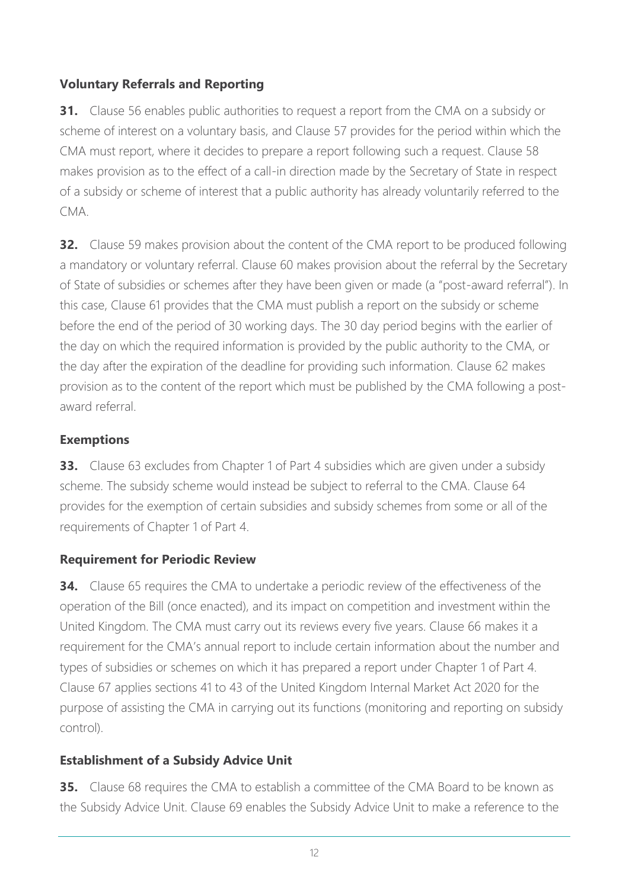## **Voluntary Referrals and Reporting**

**31.** Clause 56 enables public authorities to request a report from the CMA on a subsidy or scheme of interest on a voluntary basis, and Clause 57 provides for the period within which the CMA must report, where it decides to prepare a report following such a request. Clause 58 makes provision as to the effect of a call-in direction made by the Secretary of State in respect of a subsidy or scheme of interest that a public authority has already voluntarily referred to the CMA.

**32.** Clause 59 makes provision about the content of the CMA report to be produced following a mandatory or voluntary referral. Clause 60 makes provision about the referral by the Secretary of State of subsidies or schemes after they have been given or made (a "post-award referral"). In this case, Clause 61 provides that the CMA must publish a report on the subsidy or scheme before the end of the period of 30 working days. The 30 day period begins with the earlier of the day on which the required information is provided by the public authority to the CMA, or the day after the expiration of the deadline for providing such information. Clause 62 makes provision as to the content of the report which must be published by the CMA following a postaward referral.

#### **Exemptions**

**33.** Clause 63 excludes from Chapter 1 of Part 4 subsidies which are given under a subsidy scheme. The subsidy scheme would instead be subject to referral to the CMA. Clause 64 provides for the exemption of certain subsidies and subsidy schemes from some or all of the requirements of Chapter 1 of Part 4.

#### **Requirement for Periodic Review**

**34.** Clause 65 requires the CMA to undertake a periodic review of the effectiveness of the operation of the Bill (once enacted), and its impact on competition and investment within the United Kingdom. The CMA must carry out its reviews every five years. Clause 66 makes it a requirement for the CMA's annual report to include certain information about the number and types of subsidies or schemes on which it has prepared a report under Chapter 1 of Part 4. Clause 67 applies sections 41 to 43 of the United Kingdom Internal Market Act 2020 for the purpose of assisting the CMA in carrying out its functions (monitoring and reporting on subsidy control).

#### **Establishment of a Subsidy Advice Unit**

**35.** Clause 68 requires the CMA to establish a committee of the CMA Board to be known as the Subsidy Advice Unit. Clause 69 enables the Subsidy Advice Unit to make a reference to the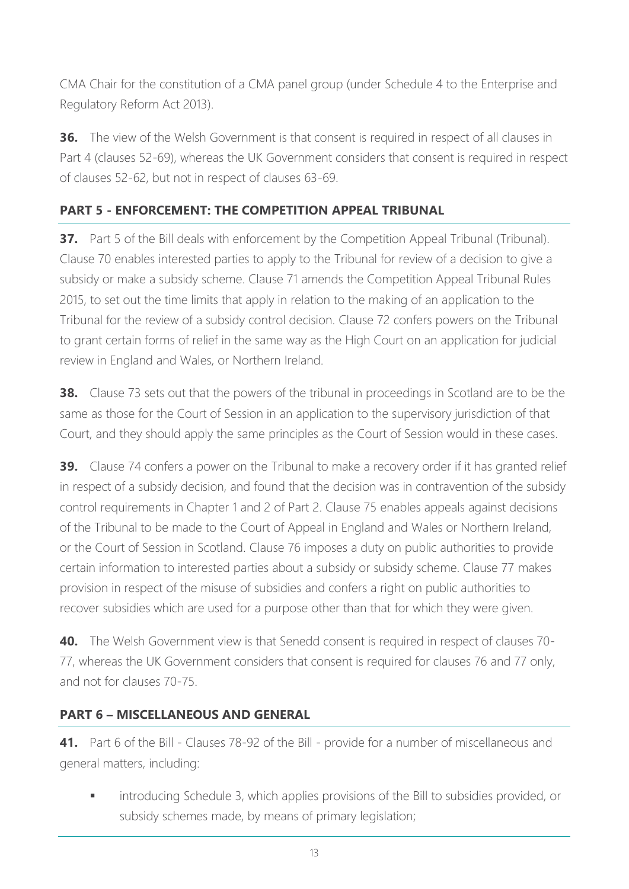CMA Chair for the constitution of a CMA panel group (under Schedule 4 to the Enterprise and Regulatory Reform Act 2013).

**36.** The view of the Welsh Government is that consent is required in respect of all clauses in Part 4 (clauses 52-69), whereas the UK Government considers that consent is required in respect of clauses 52-62, but not in respect of clauses 63-69.

## **PART 5 - ENFORCEMENT: THE COMPETITION APPEAL TRIBUNAL**

**37.** Part 5 of the Bill deals with enforcement by the Competition Appeal Tribunal (Tribunal). Clause 70 enables interested parties to apply to the Tribunal for review of a decision to give a subsidy or make a subsidy scheme. Clause 71 amends the Competition Appeal Tribunal Rules 2015, to set out the time limits that apply in relation to the making of an application to the Tribunal for the review of a subsidy control decision. Clause 72 confers powers on the Tribunal to grant certain forms of relief in the same way as the High Court on an application for judicial review in England and Wales, or Northern Ireland.

**38.** Clause 73 sets out that the powers of the tribunal in proceedings in Scotland are to be the same as those for the Court of Session in an application to the supervisory jurisdiction of that Court, and they should apply the same principles as the Court of Session would in these cases.

**39.** Clause 74 confers a power on the Tribunal to make a recovery order if it has granted relief in respect of a subsidy decision, and found that the decision was in contravention of the subsidy control requirements in Chapter 1 and 2 of Part 2. Clause 75 enables appeals against decisions of the Tribunal to be made to the Court of Appeal in England and Wales or Northern Ireland, or the Court of Session in Scotland. Clause 76 imposes a duty on public authorities to provide certain information to interested parties about a subsidy or subsidy scheme. Clause 77 makes provision in respect of the misuse of subsidies and confers a right on public authorities to recover subsidies which are used for a purpose other than that for which they were given.

**40.** The Welsh Government view is that Senedd consent is required in respect of clauses 70- 77, whereas the UK Government considers that consent is required for clauses 76 and 77 only, and not for clauses 70-75.

## **PART 6 – MISCELLANEOUS AND GENERAL**

**41.** Part 6 of the Bill - Clauses 78-92 of the Bill - provide for a number of miscellaneous and general matters, including:

introducing Schedule 3, which applies provisions of the Bill to subsidies provided, or subsidy schemes made, by means of primary legislation;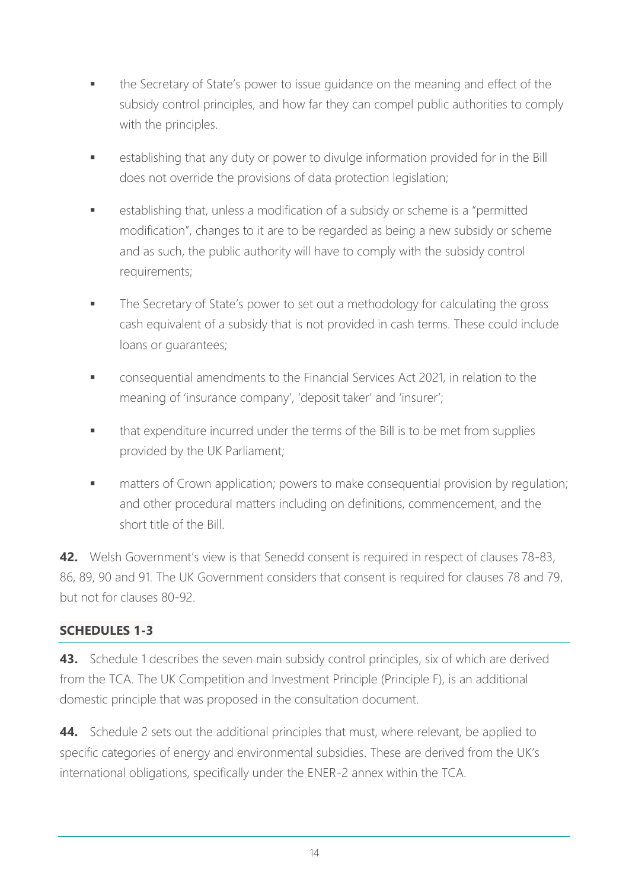- the Secretary of State's power to issue guidance on the meaning and effect of the subsidy control principles, and how far they can compel public authorities to comply with the principles.
- establishing that any duty or power to divulge information provided for in the Bill does not override the provisions of data protection legislation;
- establishing that, unless a modification of a subsidy or scheme is a "permitted modification", changes to it are to be regarded as being a new subsidy or scheme and as such, the public authority will have to comply with the subsidy control requirements;
- **■** The Secretary of State's power to set out a methodology for calculating the gross cash equivalent of a subsidy that is not provided in cash terms. These could include loans or guarantees;
- consequential amendments to the Financial Services Act 2021, in relation to the meaning of 'insurance company', 'deposit taker' and 'insurer';
- **■** that expenditure incurred under the terms of the Bill is to be met from supplies provided by the UK Parliament;
- **■** matters of Crown application; powers to make consequential provision by regulation; and other procedural matters including on definitions, commencement, and the short title of the Bill.

**42.** Welsh Government's view is that Senedd consent is required in respect of clauses 78-83, 86, 89, 90 and 91. The UK Government considers that consent is required for clauses 78 and 79, but not for clauses 80-92.

## **SCHEDULES 1-3**

**43.** Schedule 1 describes the seven main subsidy control principles, six of which are derived from the TCA. The UK Competition and Investment Principle (Principle F), is an additional domestic principle that was proposed in the consultation document.

**44.** Schedule 2 sets out the additional principles that must, where relevant, be applied to specific categories of energy and environmental subsidies. These are derived from the UK's international obligations, specifically under the ENER-2 annex within the TCA.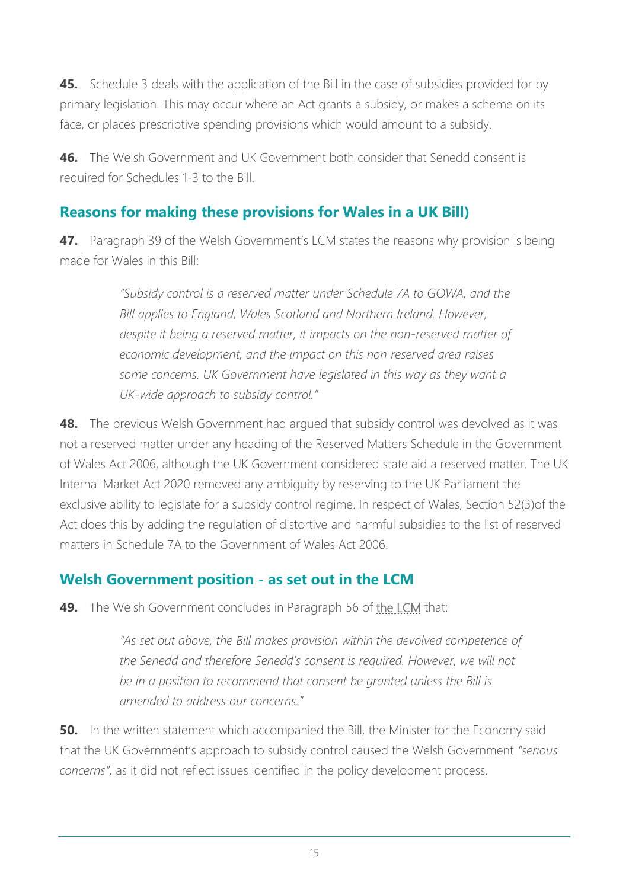**45.** Schedule 3 deals with the application of the Bill in the case of subsidies provided for by primary legislation. This may occur where an Act grants a subsidy, or makes a scheme on its face, or places prescriptive spending provisions which would amount to a subsidy.

**46.** The Welsh Government and UK Government both consider that Senedd consent is required for Schedules 1-3 to the Bill.

## **Reasons for making these provisions for Wales in a UK Bill)**

**47.** Paragraph 39 of the Welsh Government's LCM states the reasons why provision is being made for Wales in this Bill:

> *"Subsidy control is a reserved matter under Schedule 7A to GOWA, and the Bill applies to England, Wales Scotland and Northern Ireland. However, despite it being a reserved matter, it impacts on the non-reserved matter of economic development, and the impact on this non reserved area raises some concerns. UK Government have legislated in this way as they want a UK-wide approach to subsidy control."*

**48.** The previous Welsh Government had argued that subsidy control was devolved as it was not a reserved matter under any heading of the Reserved Matters Schedule in the Government of Wales Act 2006, although the UK Government considered state aid a reserved matter. The UK Internal Market Act 2020 removed any ambiguity by reserving to the UK Parliament the exclusive ability to legislate for a subsidy control regime. In respect of Wales, Section 52(3)of the Act does this by adding the regulation of distortive and harmful subsidies to the list of reserved matters in Schedule 7A to the Government of Wales Act 2006.

## **Welsh Government position - as set out in the LCM**

**49.** The Welsh Government concludes in Paragraph 56 of [the LCM](https://senedd.wales/media/yhcnasow/lcm-ld14446-e.pdf) that:

*"As set out above, the Bill makes provision within the devolved competence of the Senedd and therefore Senedd's consent is required. However, we will not be in a position to recommend that consent be granted unless the Bill is amended to address our concerns."*

**50.** In the written statement which accompanied the Bill, the Minister for the Economy said that the UK Government's approach to subsidy control caused the Welsh Government *"serious concerns",* as it did not reflect issues identified in the policy development process.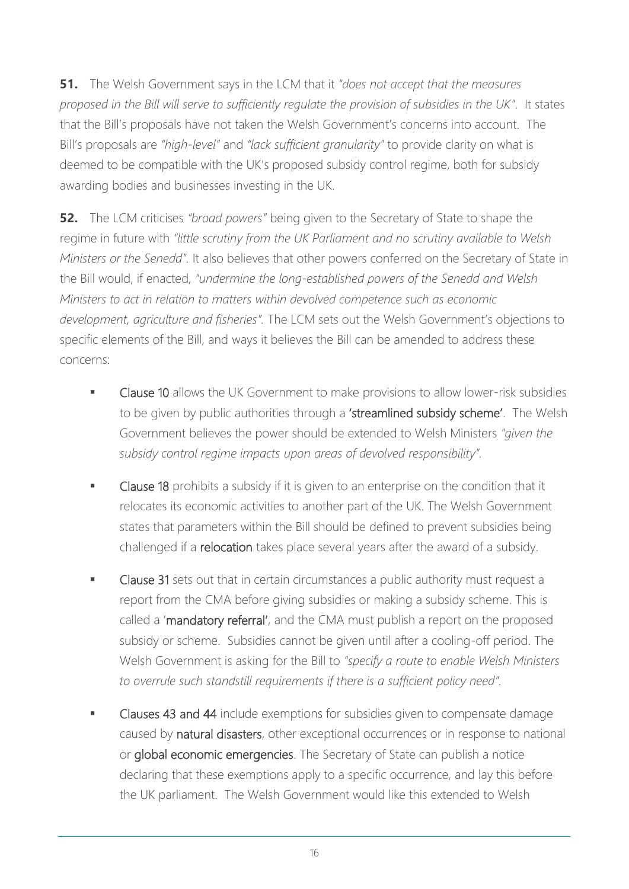**51.** The Welsh Government says in the LCM that it *"does not accept that the measures proposed in the Bill will serve to sufficiently regulate the provision of subsidies in the UK"*. It states that the Bill's proposals have not taken the Welsh Government's concerns into account. The Bill's proposals are *"high-level"* and *"lack sufficient granularity"* to provide clarity on what is deemed to be compatible with the UK's proposed subsidy control regime, both for subsidy awarding bodies and businesses investing in the UK.

**52.** The LCM criticises *"broad powers"* being given to the Secretary of State to shape the regime in future with *"little scrutiny from the UK Parliament and no scrutiny available to Welsh Ministers or the Senedd".* It also believes that other powers conferred on the Secretary of State in the Bill would, if enacted, *"undermine the long-established powers of the Senedd and Welsh Ministers to act in relation to matters within devolved competence such as economic development, agriculture and fisheries".* The LCM sets out the Welsh Government's objections to specific elements of the Bill, and ways it believes the Bill can be amended to address these concerns:

- Clause 10 allows the UK Government to make provisions to allow lower-risk subsidies to be given by public authorities through a 'streamlined subsidy scheme'. The Welsh Government believes the power should be extended to Welsh Ministers *"given the subsidy control regime impacts upon areas of devolved responsibility".*
- Clause 18 prohibits a subsidy if it is given to an enterprise on the condition that it relocates its economic activities to another part of the UK. The Welsh Government states that parameters within the Bill should be defined to prevent subsidies being challenged if a relocation takes place several years after the award of a subsidy.
- Clause 31 sets out that in certain circumstances a public authority must request a report from the CMA before giving subsidies or making a subsidy scheme. This is called a 'mandatory referral', and the CMA must publish a report on the proposed subsidy or scheme. Subsidies cannot be given until after a cooling-off period. The Welsh Government is asking for the Bill to *"specify a route to enable Welsh Ministers to overrule such standstill requirements if there is a sufficient policy need".*
- Clauses 43 and 44 include exemptions for subsidies given to compensate damage caused by natural disasters, other exceptional occurrences or in response to national or global economic emergencies. The Secretary of State can publish a notice declaring that these exemptions apply to a specific occurrence, and lay this before the UK parliament. The Welsh Government would like this extended to Welsh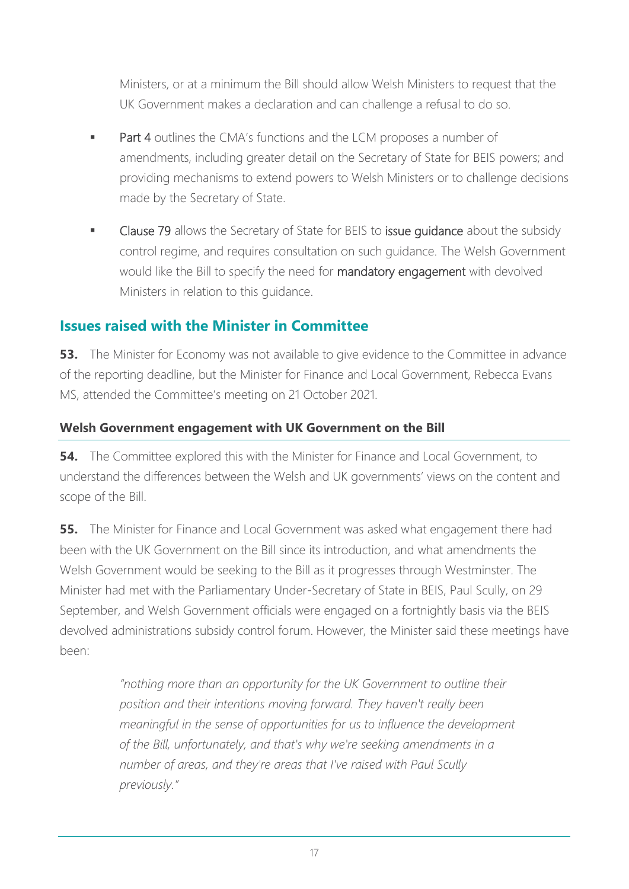Ministers, or at a minimum the Bill should allow Welsh Ministers to request that the UK Government makes a declaration and can challenge a refusal to do so.

- **Part 4** outlines the CMA's functions and the LCM proposes a number of amendments, including greater detail on the Secretary of State for BEIS powers; and providing mechanisms to extend powers to Welsh Ministers or to challenge decisions made by the Secretary of State.
- Clause 79 allows the Secretary of State for BEIS to issue quidance about the subsidy control regime, and requires consultation on such guidance. The Welsh Government would like the Bill to specify the need for mandatory engagement with devolved Ministers in relation to this guidance.

## **Issues raised with the Minister in Committee**

**53.** The Minister for Economy was not available to give evidence to the Committee in advance of the reporting deadline, but the Minister for Finance and Local Government, Rebecca Evans MS, attended the Committee's meeting on 21 October 2021.

## **Welsh Government engagement with UK Government on the Bill**

**54.** The Committee explored this with the Minister for Finance and Local Government, to understand the differences between the Welsh and UK governments' views on the content and scope of the Bill.

**55.** The Minister for Finance and Local Government was asked what engagement there had been with the UK Government on the Bill since its introduction, and what amendments the Welsh Government would be seeking to the Bill as it progresses through Westminster. The Minister had met with the Parliamentary Under-Secretary of State in BEIS, Paul Scully, on 29 September, and Welsh Government officials were engaged on a fortnightly basis via the BEIS devolved administrations subsidy control forum. However, the Minister said these meetings have been:

> *"nothing more than an opportunity for the UK Government to outline their position and their intentions moving forward. They haven't really been meaningful in the sense of opportunities for us to influence the development of the Bill, unfortunately, and that's why we're seeking amendments in a number of areas, and they're areas that I've raised with Paul Scully previously."*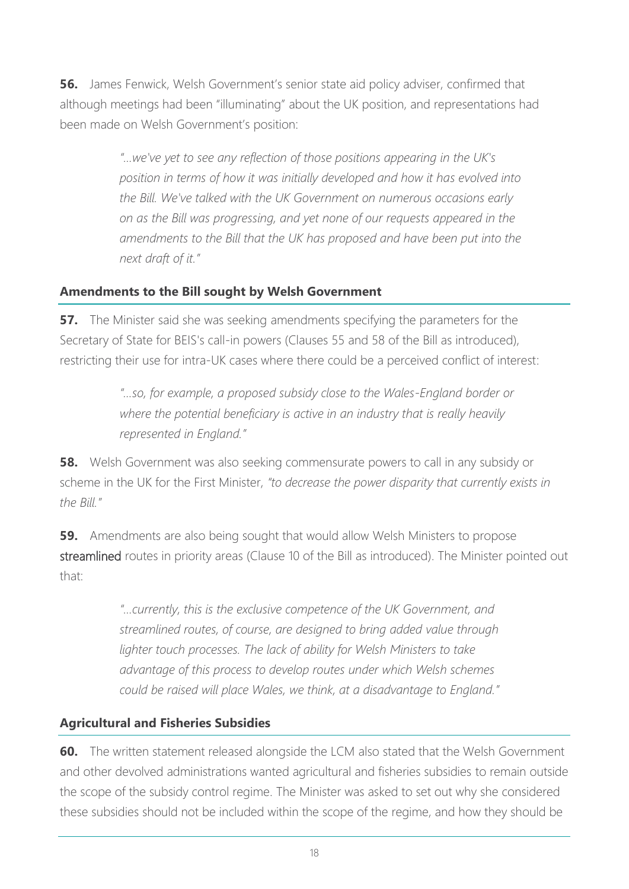**56.** James Fenwick, Welsh Government's senior state aid policy adviser, confirmed that although meetings had been "illuminating" about the UK position, and representations had been made on Welsh Government's position:

> *"…we've yet to see any reflection of those positions appearing in the UK's position in terms of how it was initially developed and how it has evolved into the Bill. We've talked with the UK Government on numerous occasions early on as the Bill was progressing, and yet none of our requests appeared in the amendments to the Bill that the UK has proposed and have been put into the next draft of it."*

## **Amendments to the Bill sought by Welsh Government**

**57.** The Minister said she was seeking amendments specifying the parameters for the Secretary of State for BEIS's call-in powers (Clauses 55 and 58 of the Bill as introduced), restricting their use for intra-UK cases where there could be a perceived conflict of interest:

> *"…so, for example, a proposed subsidy close to the Wales-England border or*  where the potential beneficiary is active in an industry that is really heavily *represented in England."*

**58.** Welsh Government was also seeking commensurate powers to call in any subsidy or scheme in the UK for the First Minister, *"to decrease the power disparity that currently exists in the Bill."*

**59.** Amendments are also being sought that would allow Welsh Ministers to propose streamlined routes in priority areas (Clause 10 of the Bill as introduced). The Minister pointed out that:

> *"…currently, this is the exclusive competence of the UK Government, and streamlined routes, of course, are designed to bring added value through lighter touch processes. The lack of ability for Welsh Ministers to take advantage of this process to develop routes under which Welsh schemes could be raised will place Wales, we think, at a disadvantage to England."*

## **Agricultural and Fisheries Subsidies**

**60.** The written statement released alongside the LCM also stated that the Welsh Government and other devolved administrations wanted agricultural and fisheries subsidies to remain outside the scope of the subsidy control regime. The Minister was asked to set out why she considered these subsidies should not be included within the scope of the regime, and how they should be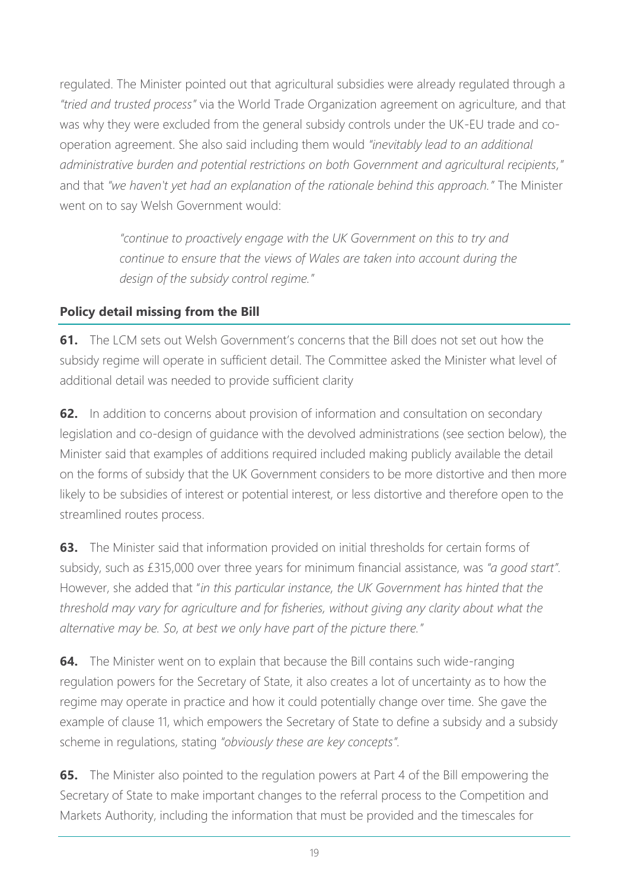regulated. The Minister pointed out that agricultural subsidies were already regulated through a *"tried and trusted process"* via the World Trade Organization agreement on agriculture, and that was why they were excluded from the general subsidy controls under the UK-EU trade and cooperation agreement. She also said including them would *"inevitably lead to an additional administrative burden and potential restrictions on both Government and agricultural recipients,"* and that *"we haven't yet had an explanation of the rationale behind this approach."* The Minister went on to say Welsh Government would:

> *"continue to proactively engage with the UK Government on this to try and continue to ensure that the views of Wales are taken into account during the design of the subsidy control regime."*

## **Policy detail missing from the Bill**

**61.** The LCM sets out Welsh Government's concerns that the Bill does not set out how the subsidy regime will operate in sufficient detail. The Committee asked the Minister what level of additional detail was needed to provide sufficient clarity

**62.** In addition to concerns about provision of information and consultation on secondary legislation and co-design of guidance with the devolved administrations (see section below), the Minister said that examples of additions required included making publicly available the detail on the forms of subsidy that the UK Government considers to be more distortive and then more likely to be subsidies of interest or potential interest, or less distortive and therefore open to the streamlined routes process.

**63.** The Minister said that information provided on initial thresholds for certain forms of subsidy, such as £315,000 over three years for minimum financial assistance, was *"a good start".* However, she added that "*in this particular instance, the UK Government has hinted that the threshold may vary for agriculture and for fisheries, without giving any clarity about what the alternative may be. So, at best we only have part of the picture there."*

**64.** The Minister went on to explain that because the Bill contains such wide-ranging regulation powers for the Secretary of State, it also creates a lot of uncertainty as to how the regime may operate in practice and how it could potentially change over time. She gave the example of clause 11, which empowers the Secretary of State to define a subsidy and a subsidy scheme in regulations, stating *"obviously these are key concepts".* 

**65.** The Minister also pointed to the regulation powers at Part 4 of the Bill empowering the Secretary of State to make important changes to the referral process to the Competition and Markets Authority, including the information that must be provided and the timescales for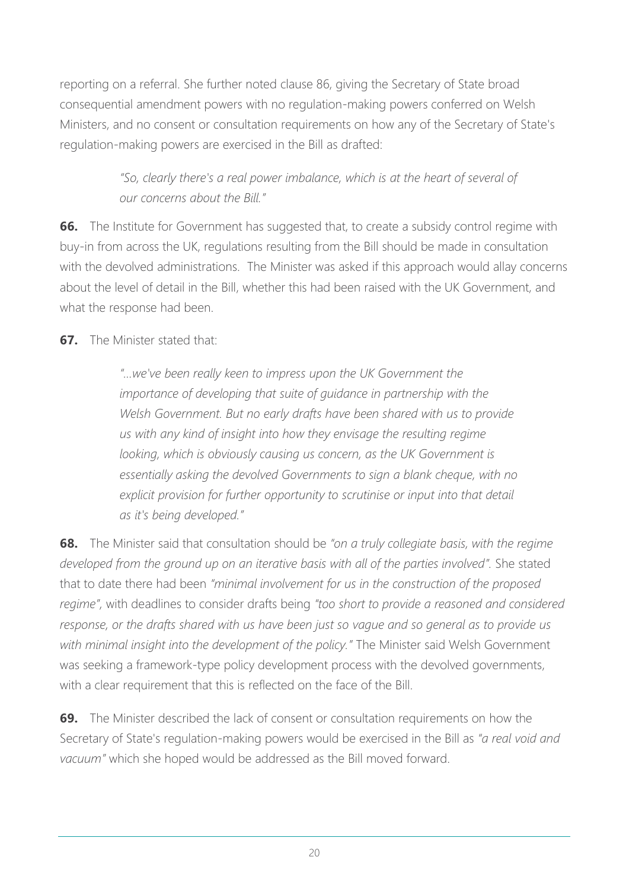reporting on a referral. She further noted clause 86, giving the Secretary of State broad consequential amendment powers with no regulation-making powers conferred on Welsh Ministers, and no consent or consultation requirements on how any of the Secretary of State's regulation-making powers are exercised in the Bill as drafted:

> *"So, clearly there's a real power imbalance, which is at the heart of several of our concerns about the Bill."*

**66.** The Institute for Government has suggested that, to create a subsidy control regime with buy-in from across the UK, regulations resulting from the Bill should be made in consultation with the devolved administrations. The Minister was asked if this approach would allay concerns about the level of detail in the Bill, whether this had been raised with the UK Government, and what the response had been.

## **67.** The Minister stated that:

*"…we've been really keen to impress upon the UK Government the importance of developing that suite of guidance in partnership with the Welsh Government. But no early drafts have been shared with us to provide us with any kind of insight into how they envisage the resulting regime*  looking, which is obviously causing us concern, as the UK Government is *essentially asking the devolved Governments to sign a blank cheque, with no explicit provision for further opportunity to scrutinise or input into that detail as it's being developed."*

**68.** The Minister said that consultation should be *"on a truly collegiate basis, with the regime developed from the ground up on an iterative basis with all of the parties involved".* She stated that to date there had been *"minimal involvement for us in the construction of the proposed regime",* with deadlines to consider drafts being *"too short to provide a reasoned and considered response, or the drafts shared with us have been just so vague and so general as to provide us with minimal insight into the development of the policy."* The Minister said Welsh Government was seeking a framework-type policy development process with the devolved governments, with a clear requirement that this is reflected on the face of the Bill.

**69.** The Minister described the lack of consent or consultation requirements on how the Secretary of State's regulation-making powers would be exercised in the Bill as *"a real void and vacuum"* which she hoped would be addressed as the Bill moved forward.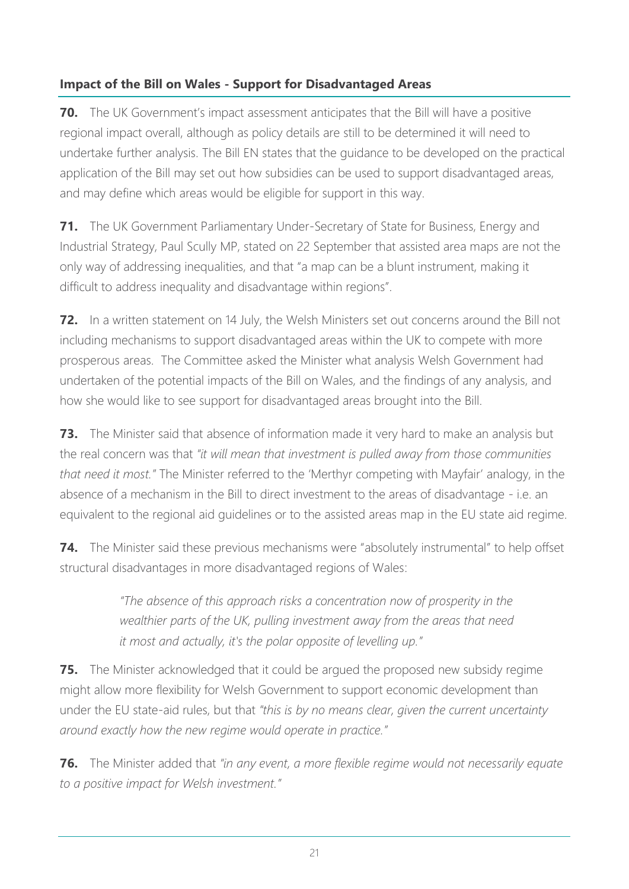## **Impact of the Bill on Wales - Support for Disadvantaged Areas**

**70.** The UK Government's impact assessment anticipates that the Bill will have a positive regional impact overall, although as policy details are still to be determined it will need to undertake further analysis. The Bill EN states that the guidance to be developed on the practical application of the Bill may set out how subsidies can be used to support disadvantaged areas, and may define which areas would be eligible for support in this way.

**71.** The UK Government Parliamentary Under-Secretary of State for Business, Energy and Industrial Strategy, Paul Scully MP, stated [on 22 September](https://hansard.parliament.uk/commons/2021-09-22/debates/546C90B8-D7AF-45A4-B5F0-5421775FAB34/SubsidyControlBill) that assisted area maps are not the only way of addressing inequalities, and that "a map can be a blunt instrument, making it difficult to address inequality and disadvantage within regions".

**72.** In a written statement on 14 July, the Welsh Ministers set out concerns around the Bill not including mechanisms to support disadvantaged areas within the UK to compete with more prosperous areas. The Committee asked the Minister what analysis Welsh Government had undertaken of the potential impacts of the Bill on Wales, and the findings of any analysis, and how she would like to see support for disadvantaged areas brought into the Bill.

**73.** The Minister said that absence of information made it very hard to make an analysis but the real concern was that *"it will mean that investment is pulled away from those communities that need it most."* The Minister referred to the 'Merthyr competing with Mayfair' analogy, in the absence of a mechanism in the Bill to direct investment to the areas of disadvantage - i.e. an equivalent to the regional aid guidelines or to the assisted areas map in the EU state aid regime.

**74.** The Minister said these previous mechanisms were "absolutely instrumental" to help offset structural disadvantages in more disadvantaged regions of Wales:

> *"The absence of this approach risks a concentration now of prosperity in the wealthier parts of the UK, pulling investment away from the areas that need it most and actually, it's the polar opposite of levelling up."*

**75.** The Minister acknowledged that it could be argued the proposed new subsidy regime might allow more flexibility for Welsh Government to support economic development than under the EU state-aid rules, but that *"this is by no means clear, given the current uncertainty around exactly how the new regime would operate in practice."*

**76.** The Minister added that *"in any event, a more flexible regime would not necessarily equate to a positive impact for Welsh investment."*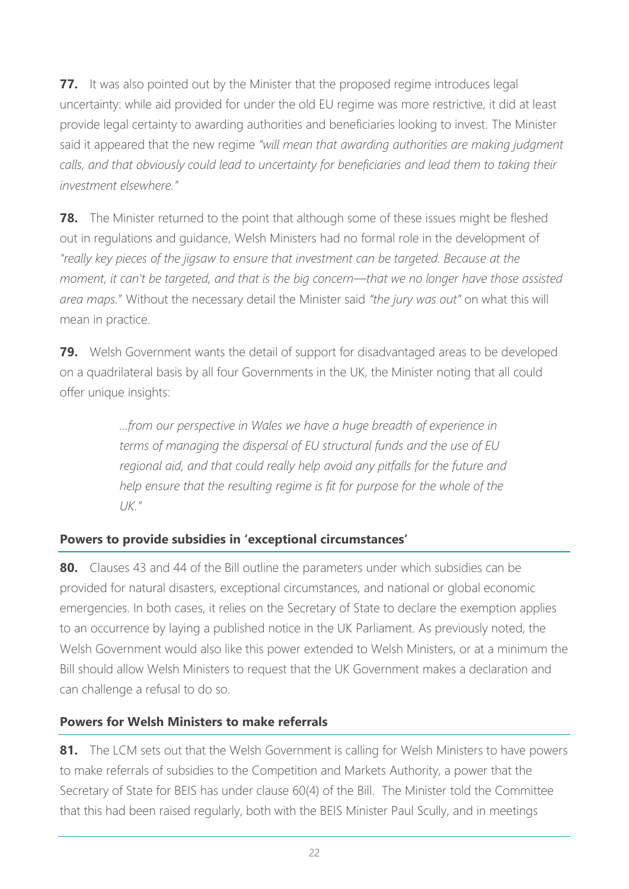**77.** It was also pointed out by the Minister that the proposed regime introduces legal uncertainty: while aid provided for under the old EU regime was more restrictive, it did at least provide legal certainty to awarding authorities and beneficiaries looking to invest. The Minister said it appeared that the new regime *"will mean that awarding authorities are making judgment calls, and that obviously could lead to uncertainty for beneficiaries and lead them to taking their investment elsewhere."*

**78.** The Minister returned to the point that although some of these issues might be fleshed out in regulations and guidance, Welsh Ministers had no formal role in the development of *"really key pieces of the jigsaw to ensure that investment can be targeted. Because at the moment, it can't be targeted, and that is the big concern—that we no longer have those assisted area maps.*" Without the necessary detail the Minister said *"the jury was out"* on what this will mean in practice.

**79.** Welsh Government wants the detail of support for disadvantaged areas to be developed on a quadrilateral basis by all four Governments in the UK, the Minister noting that all could offer unique insights:

> *…from our perspective in Wales we have a huge breadth of experience in terms of managing the dispersal of EU structural funds and the use of EU regional aid, and that could really help avoid any pitfalls for the future and help ensure that the resulting regime is fit for purpose for the whole of the UK."*

## **Powers to provide subsidies in 'exceptional circumstances'**

**80.** Clauses 43 and 44 of the Bill outline the parameters under which subsidies can be provided for natural disasters, exceptional circumstances, and national or global economic emergencies. In both cases, it relies on the Secretary of State to declare the exemption applies to an occurrence by laying a published notice in the UK Parliament. As previously noted, the Welsh Government would also like this power extended to Welsh Ministers, or at a minimum the Bill should allow Welsh Ministers to request that the UK Government makes a declaration and can challenge a refusal to do so.

## **Powers for Welsh Ministers to make referrals**

**81.** The LCM sets out that the Welsh Government is calling for Welsh Ministers to have powers to make referrals of subsidies to the Competition and Markets Authority, a power that the Secretary of State for BEIS has under clause 60(4) of the Bill. The Minister told the Committee that this had been raised regularly, both with the BEIS Minister Paul Scully, and in meetings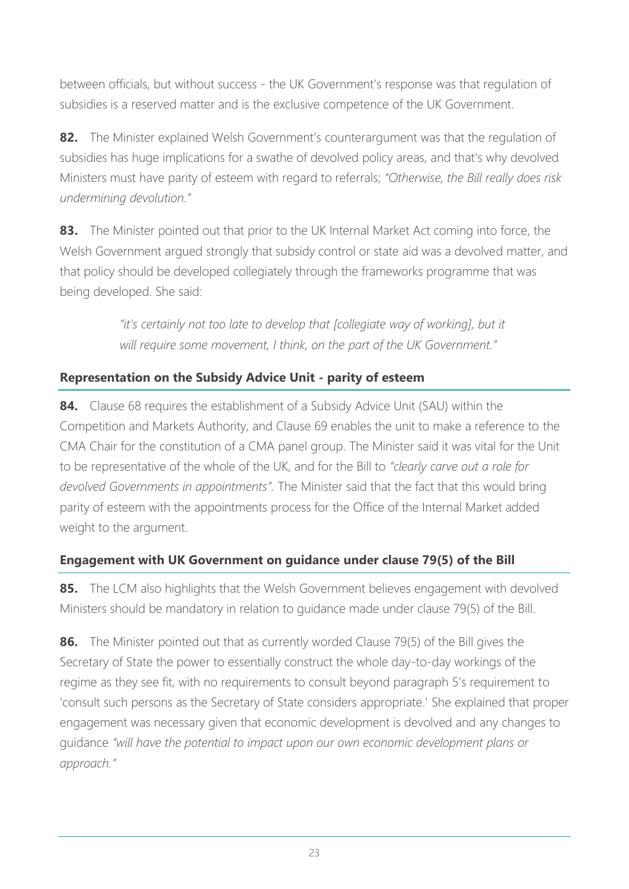between officials, but without success - the UK Government's response was that regulation of subsidies is a reserved matter and is the exclusive competence of the UK Government.

**82.** The Minister explained Welsh Government's counterargument was that the regulation of subsidies has huge implications for a swathe of devolved policy areas, and that's why devolved Ministers must have parity of esteem with regard to referrals; *"Otherwise, the Bill really does risk undermining devolution."*

**83.** The Minister pointed out that prior to the UK Internal Market Act coming into force, the Welsh Government argued strongly that subsidy control or state aid was a devolved matter, and that policy should be developed collegiately through the frameworks programme that was being developed. She said:

> *"it's certainly not too late to develop that [collegiate way of working], but it will require some movement, I think, on the part of the UK Government."*

## **Representation on the Subsidy Advice Unit - parity of esteem**

**84.** Clause 68 requires the establishment of a Subsidy Advice Unit (SAU) within the Competition and Markets Authority, and Clause 69 enables the unit to make a reference to the CMA Chair for the constitution of a CMA panel group. The Minister said it was vital for the Unit to be representative of the whole of the UK, and for the Bill to *"clearly carve out a role for devolved Governments in appointments".* The Minister said that the fact that this would bring parity of esteem with the appointments process for the Office of the Internal Market added weight to the argument.

## **Engagement with UK Government on guidance under clause 79(5) of the Bill**

**85.** The LCM also highlights that the Welsh Government believes engagement with devolved Ministers should be mandatory in relation to guidance made under clause 79(5) of the Bill.

**86.** The Minister pointed out that as currently worded Clause 79(5) of the Bill gives the Secretary of State the power to essentially construct the whole day-to-day workings of the regime as they see fit, with no requirements to consult beyond paragraph 5's requirement to 'consult such persons as the Secretary of State considers appropriate.' She explained that proper engagement was necessary given that economic development is devolved and any changes to guidance *"will have the potential to impact upon our own economic development plans or approach."*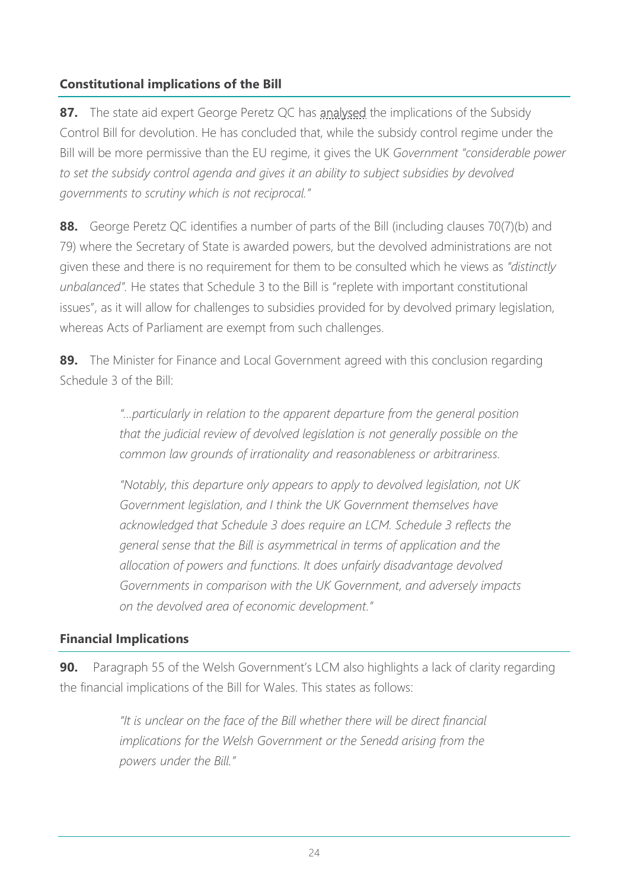## **Constitutional implications of the Bill**

**87.** The state aid expert George Peretz QC has [analysed](https://eurelationslaw.com/blog/the-subsidy-control-bill-and-devolution-a-balanced-regime?utm_source=rss&utm_medium=rss&utm_campaign=the-subsidy-control-bill-and-devolution-a-balanced-regime) the implications of the Subsidy Control Bill for devolution. He has concluded that, while the subsidy control regime under the Bill will be more permissive than the EU regime, it gives the UK *Government "considerable power to set the subsidy control agenda and gives it an ability to subject subsidies by devolved governments to scrutiny which is not reciprocal."*

88. George Peretz QC identifies a number of parts of the Bill (including clauses 70(7)(b) and 79) where the Secretary of State is awarded powers, but the devolved administrations are not given these and there is no requirement for them to be consulted which he views as *"distinctly unbalanced".* He states that Schedule 3 to the Bill is "replete with important constitutional issues", as it will allow for challenges to subsidies provided for by devolved primary legislation, whereas Acts of Parliament are exempt from such challenges.

**89.** The Minister for Finance and Local Government agreed with this conclusion regarding Schedule 3 of the Bill:

> *"…particularly in relation to the apparent departure from the general position that the judicial review of devolved legislation is not generally possible on the common law grounds of irrationality and reasonableness or arbitrariness.*

*"Notably, this departure only appears to apply to devolved legislation, not UK Government legislation, and I think the UK Government themselves have acknowledged that Schedule 3 does require an LCM. Schedule 3 reflects the general sense that the Bill is asymmetrical in terms of application and the allocation of powers and functions. It does unfairly disadvantage devolved Governments in comparison with the UK Government, and adversely impacts on the devolved area of economic development."*

#### **Financial Implications**

**90.** Paragraph 55 of the Welsh Government's LCM also highlights a lack of clarity regarding the financial implications of the Bill for Wales. This states as follows:

> *"It is unclear on the face of the Bill whether there will be direct financial implications for the Welsh Government or the Senedd arising from the powers under the Bill."*